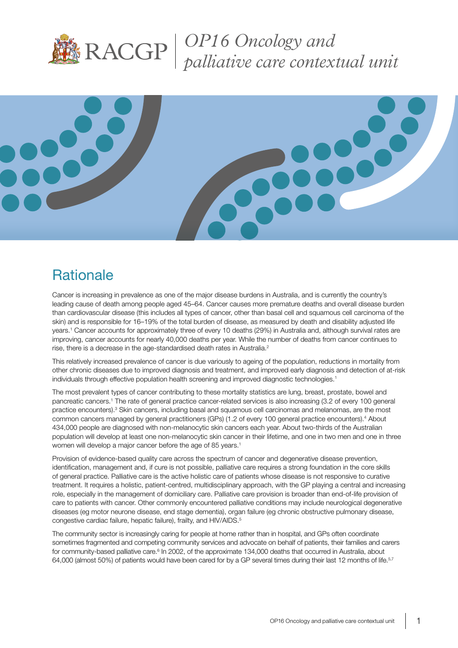

*OP16 Oncology and palliative care contextual unit*



## **Rationale**

Cancer is increasing in prevalence as one of the major disease burdens in Australia, and is currently the country's leading cause of death among people aged 45–64. Cancer causes more premature deaths and overall disease burden than cardiovascular disease (this includes all types of cancer, other than basal cell and squamous cell carcinoma of the skin) and is responsible for 16–19% of the total burden of disease, as measured by death and disability adjusted life years.1 Cancer accounts for approximately three of every 10 deaths (29%) in Australia and, although survival rates are improving, cancer accounts for nearly 40,000 deaths per year. While the number of deaths from cancer continues to rise, there is a decrease in the age-standardised death rates in Australia.<sup>2</sup>

This relatively increased prevalence of cancer is due variously to ageing of the population, reductions in mortality from other chronic diseases due to improved diagnosis and treatment, and improved early diagnosis and detection of at-risk individuals through effective population health screening and improved diagnostic technologies.<sup>1</sup>

The most prevalent types of cancer contributing to these mortality statistics are lung, breast, prostate, bowel and pancreatic cancers.1 The rate of general practice cancer-related services is also increasing (3.2 of every 100 general practice encounters).<sup>3</sup> Skin cancers, including basal and squamous cell carcinomas and melanomas, are the most common cancers managed by general practitioners (GPs) (1.2 of every 100 general practice encounters).<sup>4</sup> About 434,000 people are diagnosed with non-melanocytic skin cancers each year. About two-thirds of the Australian population will develop at least one non-melanocytic skin cancer in their lifetime, and one in two men and one in three women will develop a major cancer before the age of 85 years.<sup>1</sup>

Provision of evidence-based quality care across the spectrum of cancer and degenerative disease prevention, identification, management and, if cure is not possible, palliative care requires a strong foundation in the core skills of general practice. Palliative care is the active holistic care of patients whose disease is not responsive to curative treatment. It requires a holistic, patient-centred, multidisciplinary approach, with the GP playing a central and increasing role, especially in the management of domiciliary care. Palliative care provision is broader than end-of-life provision of care to patients with cancer. Other commonly encountered palliative conditions may include neurological degenerative diseases (eg motor neurone disease, end stage dementia), organ failure (eg chronic obstructive pulmonary disease, congestive cardiac failure, hepatic failure), frailty, and HIV/AIDS.<sup>5</sup>

The community sector is increasingly caring for people at home rather than in hospital, and GPs often coordinate sometimes fragmented and competing community services and advocate on behalf of patients, their families and carers for community-based palliative care.<sup>6</sup> In 2002, of the approximate 134,000 deaths that occurred in Australia, about 64,000 (almost 50%) of patients would have been cared for by a GP several times during their last 12 months of life.<sup>5,7</sup>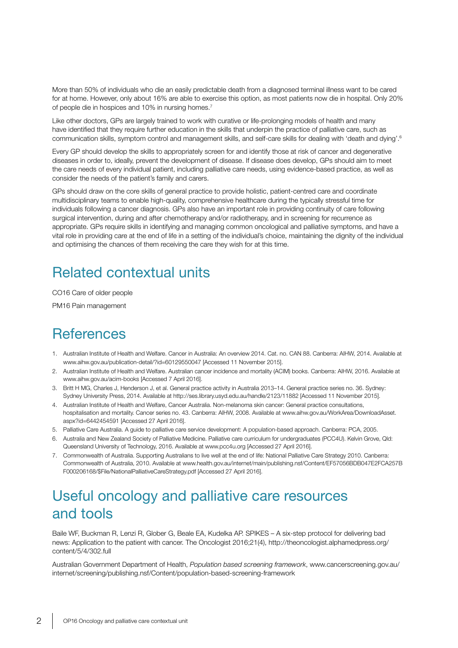More than 50% of individuals who die an easily predictable death from a diagnosed terminal illness want to be cared for at home. However, only about 16% are able to exercise this option, as most patients now die in hospital. Only 20% of people die in hospices and 10% in nursing homes.<sup>7</sup>

Like other doctors, GPs are largely trained to work with curative or life-prolonging models of health and many have identified that they require further education in the skills that underpin the practice of palliative care, such as communication skills, symptom control and management skills, and self-care skills for dealing with 'death and dying'.<sup>6</sup>

Every GP should develop the skills to appropriately screen for and identify those at risk of cancer and degenerative diseases in order to, ideally, prevent the development of disease. If disease does develop, GPs should aim to meet the care needs of every individual patient, including palliative care needs, using evidence-based practice, as well as consider the needs of the patient's family and carers.

GPs should draw on the core skills of general practice to provide holistic, patient-centred care and coordinate multidisciplinary teams to enable high-quality, comprehensive healthcare during the typically stressful time for individuals following a cancer diagnosis. GPs also have an important role in providing continuity of care following surgical intervention, during and after chemotherapy and/or radiotherapy, and in screening for recurrence as appropriate. GPs require skills in identifying and managing common oncological and palliative symptoms, and have a vital role in providing care at the end of life in a setting of the individual's choice, maintaining the dignity of the individual and optimising the chances of them receiving the care they wish for at this time.

# Related contextual units

CO16 Care of older people

PM16 Pain management

## **References**

- 1. Australian Institute of Health and Welfare. Cancer in Australia: An overview 2014. Cat. no. CAN 88. Canberra: AIHW, 2014. Available at www.aihw.gov.au/publication-detail/?id=60129550047 [Accessed 11 November 2015].
- 2. Australian Institute of Health and Welfare. Australian cancer incidence and mortality (ACIM) books. Canberra: AIHW, 2016. Available at www.aihw.gov.au/acim-books [Accessed 7 April 2016].
- 3. Britt H MG, Charles J, Henderson J, et al. General practice activity in Australia 2013–14. General practice series no. 36. Sydney: Sydney University Press, 2014. Available at http://ses.library.usyd.edu.au/handle/2123/11882 [Accessed 11 November 2015].
- 4. Australian Institute of Health and Welfare, Cancer Australia. Non-melanoma skin cancer: General practice consultations, hospitalisation and mortality. Cancer series no. 43. Canberra: AIHW, 2008. Available at www.aihw.gov.au/WorkArea/DownloadAsset. aspx?id=6442454591 [Accessed 27 April 2016].
- 5. Palliative Care Australia. A guide to palliative care service development: A population-based approach. Canberra: PCA, 2005.
- 6. Australia and New Zealand Society of Palliative Medicine. Palliative care curriculum for undergraduates (PCC4U). Kelvin Grove, Qld: Queensland University of Technology, 2016. Available at www.pcc4u.org [Accessed 27 April 2016].
- 7. Commonwealth of Australia. Supporting Australians to live well at the end of life: National Palliative Care Strategy 2010. Canberra: Commonwealth of Australia, 2010. Available at www.health.gov.au/internet/main/publishing.nsf/Content/EF57056BDB047E2FCA257B F000206168/\$File/NationalPalliativeCareStrategy.pdf [Accessed 27 April 2016].

## Useful oncology and palliative care resources and tools

Baile WF, Buckman R, Lenzi R, Glober G, Beale EA, Kudelka AP. SPIKES – A six-step protocol for delivering bad news: Application to the patient with cancer. The Oncologist 2016;21(4), http://theoncologist.alphamedpress.org/ content/5/4/302.full

Australian Government Department of Health, *Population based screening framework*, www.cancerscreening.gov.au/ internet/screening/publishing.nsf/Content/population-based-screening-framework